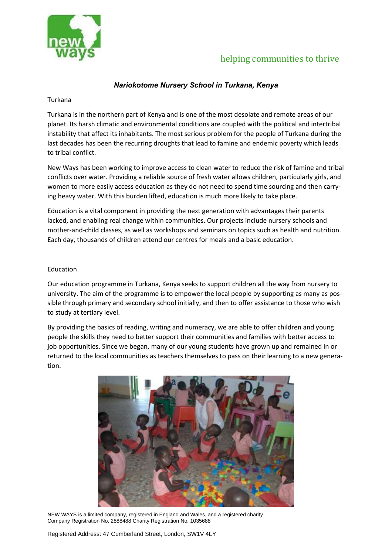

## helping communities to thrive

### *Nariokotome Nursery School in Turkana, Kenya*

#### Turkana

Turkana is in the northern part of Kenya and is one of the most desolate and remote areas of our planet. Its harsh climatic and environmental conditions are coupled with the political and intertribal instability that affect its inhabitants. The most serious problem for the people of Turkana during the last decades has been the recurring droughts that lead to famine and endemic poverty which leads to tribal conflict.

New Ways has been working to improve access to clean water to reduce the risk of famine and tribal conflicts over water. Providing a reliable source of fresh water allows children, particularly girls, and women to more easily access education as they do not need to spend time sourcing and then carrying heavy water. With this burden lifted, education is much more likely to take place.

Education is a vital component in providing the next generation with advantages their parents lacked, and enabling real change within communities. Our projects include nursery schools and mother-and-child classes, as well as workshops and seminars on topics such as health and nutrition. Each day, thousands of children attend our centres for meals and a basic education.

#### Education

Our education programme in Turkana, Kenya seeks to support children all the way from nursery to university. The aim of the programme is to empower the local people by supporting as many as possible through primary and secondary school initially, and then to offer assistance to those who wish to study at tertiary level.

By providing the basics of reading, writing and numeracy, we are able to offer children and young people the skills they need to better support their communities and families with better access to job opportunities. Since we began, many of our young students have grown up and remained in or returned to the local communities as teachers themselves to pass on their learning to a new generation.



NEW WAYS is a limited company, registered in England and Wales, and a registered charity Company Registration No. 2888488 Charity Registration No. 1035688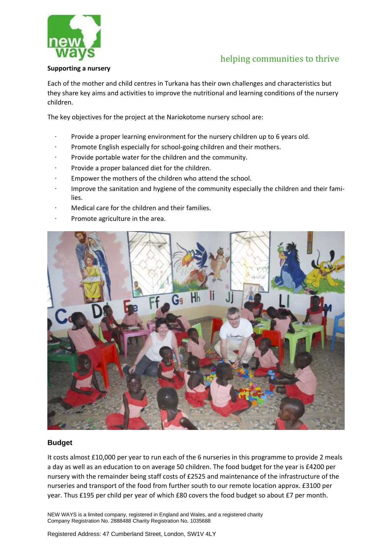

# helping communities to thrive

#### **Supporting a nursery**

Each of the mother and child centres in Turkana has their own challenges and characteristics but they share key aims and activities to improve the nutritional and learning conditions of the nursery children.

The key objectives for the project at the Nariokotome nursery school are:

- Provide a proper learning environment for the nursery children up to 6 years old.
- Promote English especially for school-going children and their mothers.
- Provide portable water for the children and the community.
- Provide a proper balanced diet for the children.
- Empower the mothers of the children who attend the school.
- · Improve the sanitation and hygiene of the community especially the children and their families.
- Medical care for the children and their families.
- Promote agriculture in the area.



### **Budget**

It costs almost £10,000 per year to run each of the 6 nurseries in this programme to provide 2 meals a day as well as an education to on average 50 children. The food budget for the year is £4200 per nursery with the remainder being staff costs of £2525 and maintenance of the infrastructure of the nurseries and transport of the food from further south to our remote location approx. £3100 per year. Thus £195 per child per year of which £80 covers the food budget so about £7 per month.

NEW WAYS is a limited company, registered in England and Wales, and a registered charity Company Registration No. 2888488 Charity Registration No. 1035688

Registered Address: 47 Cumberland Street, London, SW1V 4LY